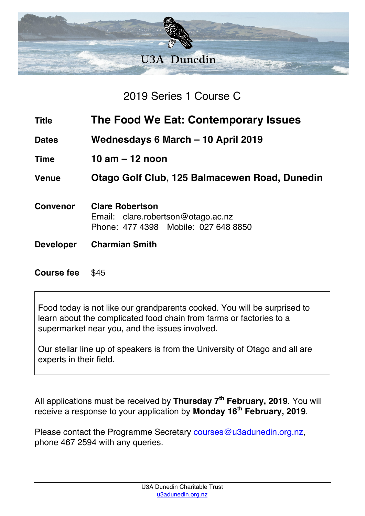

2019 Series 1 Course C

- **Title The Food We Eat: Contemporary Issues**
- **Dates Wednesdays 6 March – 10 April 2019**
- **Time 10 am – 12 noon**

**Venue Otago Golf Club, 125 Balmacewen Road, Dunedin**

- **Convenor Clare Robertson** Email: clare.robertson@otago.ac.nz Phone: 477 4398 Mobile: 027 648 8850
- **Developer Charmian Smith**

**Course fee** \$45

Food today is not like our grandparents cooked. You will be surprised to learn about the complicated food chain from farms or factories to a supermarket near you, and the issues involved.

Our stellar line up of speakers is from the University of Otago and all are experts in their field.

All applications must be received by **Thursday 7th February, 2019**. You will receive a response to your application by **Monday 16th February, 2019**.

Please contact the Programme Secretary courses@u3adunedin.org.nz, phone 467 2594 with any queries.